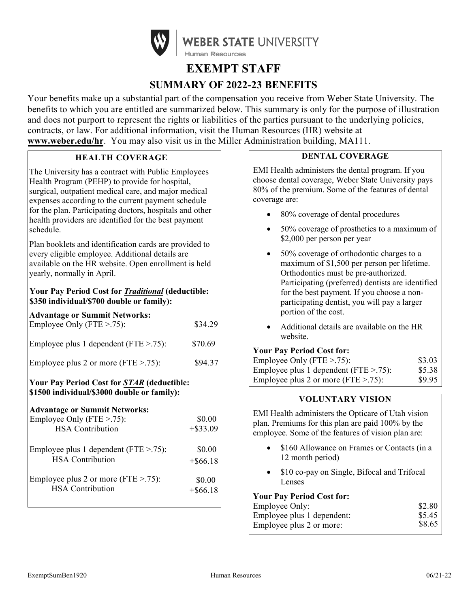

# **EXEMPT STAFF SUMMARY OF 2022-23 BENEFITS**

Your benefits make up a substantial part of the compensation you receive from Weber State University. The benefits to which you are entitled are summarized below. This summary is only for the purpose of illustration and does not purport to represent the rights or liabilities of the parties pursuant to the underlying policies, contracts, or law. For additional information, visit the Human Resources (HR) website at **[www.weber.edu/hr](http://www.weber.edu/hr)**. You may also visit us in the Miller Administration building, MA111.

# **HEALTH COVERAGE**

The University has a contract with Public Employees Health Program (PEHP) to provide for hospital, surgical, outpatient medical care, and major medical expenses according to the current payment schedule for the plan. Participating doctors, hospitals and other health providers are identified for the best payment schedule.

Plan booklets and identification cards are provided to every eligible employee. Additional details are available on the HR website. Open enrollment is held yearly, normally in April.

## **Your Pay Period Cost for** *Traditional* **(deductible: \$350 individual/\$700 double or family):**

| <b>Advantage or Summit Networks:</b><br>Employee Only (FTE $> .75$ ):                             | \$34.29               |
|---------------------------------------------------------------------------------------------------|-----------------------|
| Employee plus 1 dependent (FTE $>$ .75):                                                          | \$70.69               |
| Employee plus 2 or more (FTE $>$ .75):                                                            | \$94.37               |
| <b>Your Pay Period Cost for STAR (deductible:</b><br>\$1500 individual/\$3000 double or family):  |                       |
| <b>Advantage or Summit Networks:</b><br>Employee Only (FTE $> 0.75$ ):<br><b>HSA</b> Contribution | \$0.00<br>$+$ \$33.09 |
| Employee plus 1 dependent ( $FTE > .75$ ):<br><b>HSA</b> Contribution                             | \$0.00<br>$+$ \$66.18 |
| Employee plus 2 or more (FTE $> .75$ ):<br><b>HSA</b> Contribution                                | \$0.00<br>$+$ \$66.18 |

# **DENTAL COVERAGE**

EMI Health administers the dental program. If you choose dental coverage, Weber State University pays 80% of the premium. Some of the features of dental coverage are:

- 80% coverage of dental procedures
- 50% coverage of prosthetics to a maximum of \$2,000 per person per year
- 50% coverage of orthodontic charges to a maximum of \$1,500 per person per lifetime. Orthodontics must be pre-authorized. Participating (preferred) dentists are identified for the best payment. If you choose a nonparticipating dentist, you will pay a larger portion of the cost.
- Additional details are available on the HR website.

#### **Your Pay Period Cost for:**

| Employee Only (FTE $> 0.75$ ):             | \$3.03 |
|--------------------------------------------|--------|
| Employee plus 1 dependent ( $FTE > .75$ ): | \$5.38 |
| Employee plus 2 or more (FTE $> .75$ ):    | \$9.95 |

## **VOLUNTARY VISION**

EMI Health administers the Opticare of Utah vision plan. Premiums for this plan are paid 100% by the employee. Some of the features of vision plan are:

- \$160 Allowance on Frames or Contacts (in a 12 month period)
- \$10 co-pay on Single, Bifocal and Trifocal Lenses

#### **Your Pay Period Cost for:**

| Employee Only:             | \$2.80 |
|----------------------------|--------|
| Employee plus 1 dependent: | \$5.45 |
| Employee plus 2 or more:   | \$8.65 |